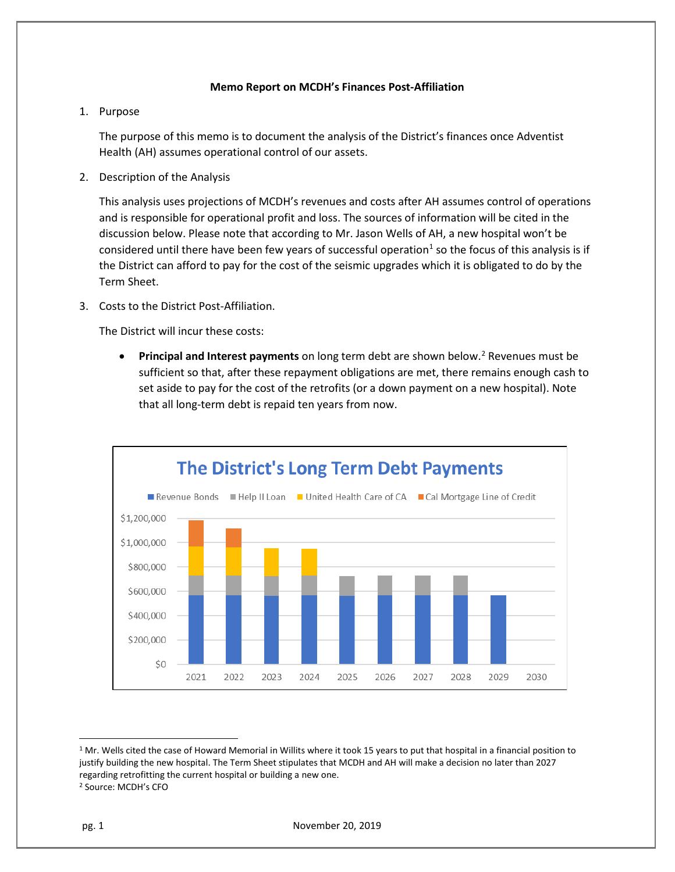## **Memo Report on MCDH's Finances Post-Affiliation**

## 1. Purpose

The purpose of this memo is to document the analysis of the District's finances once Adventist Health (AH) assumes operational control of our assets.

2. Description of the Analysis

This analysis uses projections of MCDH's revenues and costs after AH assumes control of operations and is responsible for operational profit and loss. The sources of information will be cited in the discussion below. Please note that according to Mr. Jason Wells of AH, a new hospital won't be considered until there have been few years of successful operation<sup>[1](#page-0-0)</sup> so the focus of this analysis is if the District can afford to pay for the cost of the seismic upgrades which it is obligated to do by the Term Sheet.

3. Costs to the District Post-Affiliation.

The District will incur these costs:

• **Principal and Interest payments** on long term debt are shown below.<sup>[2](#page-0-1)</sup> Revenues must be sufficient so that, after these repayment obligations are met, there remains enough cash to set aside to pay for the cost of the retrofits (or a down payment on a new hospital). Note that all long-term debt is repaid ten years from now.



<span id="page-0-0"></span> $1$  Mr. Wells cited the case of Howard Memorial in Willits where it took 15 years to put that hospital in a financial position to justify building the new hospital. The Term Sheet stipulates that MCDH and AH will make a decision no later than 2027 regarding retrofitting the current hospital or building a new one.

<span id="page-0-1"></span><sup>2</sup> Source: MCDH's CFO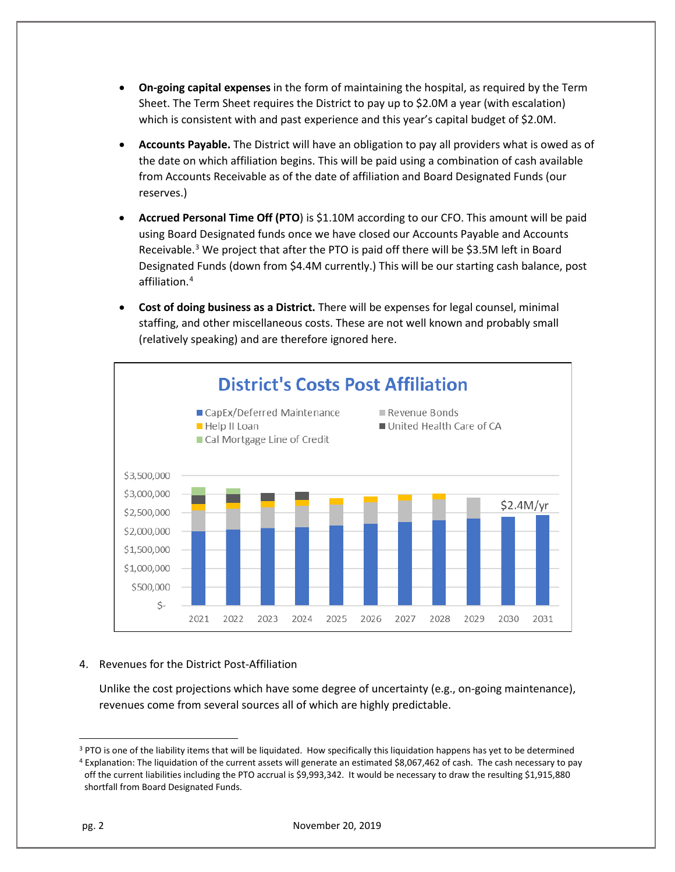- **On-going capital expenses** in the form of maintaining the hospital, as required by the Term Sheet. The Term Sheet requires the District to pay up to \$2.0M a year (with escalation) which is consistent with and past experience and this year's capital budget of \$2.0M.
- **Accounts Payable.** The District will have an obligation to pay all providers what is owed as of the date on which affiliation begins. This will be paid using a combination of cash available from Accounts Receivable as of the date of affiliation and Board Designated Funds (our reserves.)
- **Accrued Personal Time Off (PTO**) is \$1.10M according to our CFO. This amount will be paid using Board Designated funds once we have closed our Accounts Payable and Accounts Receivable.<sup>[3](#page-1-0)</sup> We project that after the PTO is paid off there will be \$3.5M left in Board Designated Funds (down from \$4.4M currently.) This will be our starting cash balance, post affiliation.[4](#page-1-1)
- **Cost of doing business as a District.** There will be expenses for legal counsel, minimal staffing, and other miscellaneous costs. These are not well known and probably small (relatively speaking) and are therefore ignored here.



## 4. Revenues for the District Post-Affiliation

Unlike the cost projections which have some degree of uncertainty (e.g., on-going maintenance), revenues come from several sources all of which are highly predictable.

<span id="page-1-0"></span><sup>&</sup>lt;sup>3</sup> PTO is one of the liability items that will be liquidated. How specifically this liquidation happens has yet to be determined

<span id="page-1-1"></span><sup>4</sup> Explanation: The liquidation of the current assets will generate an estimated \$8,067,462 of cash. The cash necessary to pay off the current liabilities including the PTO accrual is \$9,993,342. It would be necessary to draw the resulting \$1,915,880 shortfall from Board Designated Funds.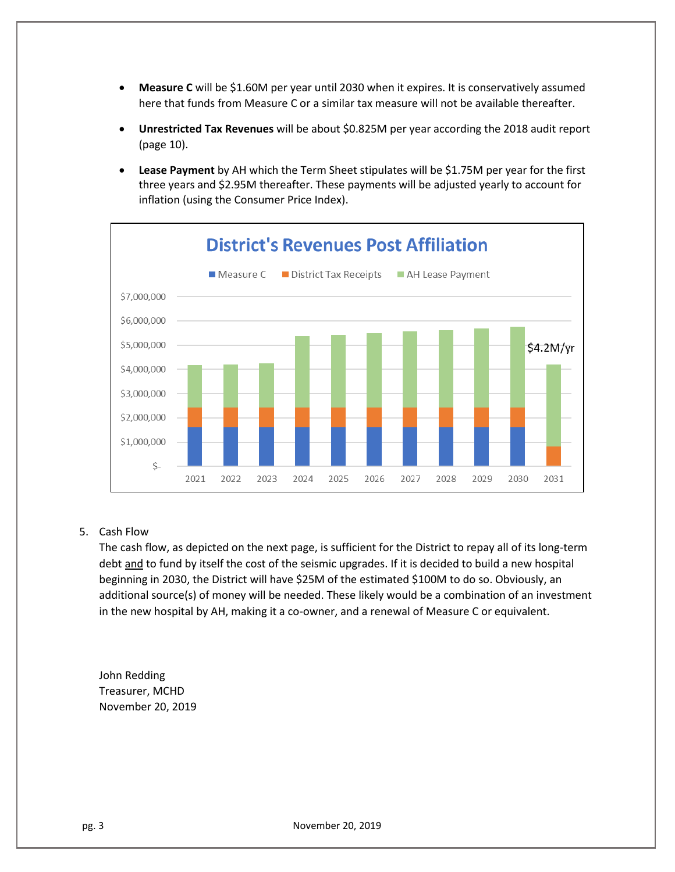- **Measure C** will be \$1.60M per year until 2030 when it expires. It is conservatively assumed here that funds from Measure C or a similar tax measure will not be available thereafter.
- **Unrestricted Tax Revenues** will be about \$0.825M per year according the 2018 audit report (page 10).
- **Lease Payment** by AH which the Term Sheet stipulates will be \$1.75M per year for the first three years and \$2.95M thereafter. These payments will be adjusted yearly to account for inflation (using the Consumer Price Index).



## 5. Cash Flow

The cash flow, as depicted on the next page, is sufficient for the District to repay all of its long-term debt and to fund by itself the cost of the seismic upgrades. If it is decided to build a new hospital beginning in 2030, the District will have \$25M of the estimated \$100M to do so. Obviously, an additional source(s) of money will be needed. These likely would be a combination of an investment in the new hospital by AH, making it a co-owner, and a renewal of Measure C or equivalent.

John Redding Treasurer, MCHD November 20, 2019